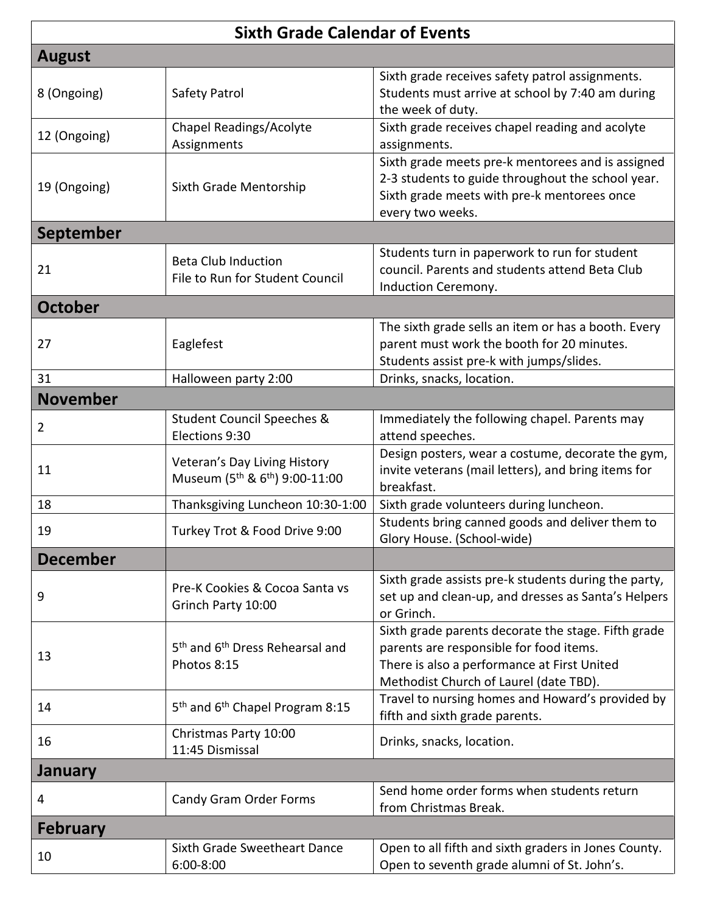| <b>Sixth Grade Calendar of Events</b> |                                                                                        |                                                                                                                                                                                         |  |
|---------------------------------------|----------------------------------------------------------------------------------------|-----------------------------------------------------------------------------------------------------------------------------------------------------------------------------------------|--|
| <b>August</b>                         |                                                                                        |                                                                                                                                                                                         |  |
| 8 (Ongoing)                           | Safety Patrol                                                                          | Sixth grade receives safety patrol assignments.<br>Students must arrive at school by 7:40 am during<br>the week of duty.                                                                |  |
| 12 (Ongoing)                          | <b>Chapel Readings/Acolyte</b><br>Assignments                                          | Sixth grade receives chapel reading and acolyte<br>assignments.                                                                                                                         |  |
| 19 (Ongoing)                          | Sixth Grade Mentorship                                                                 | Sixth grade meets pre-k mentorees and is assigned<br>2-3 students to guide throughout the school year.<br>Sixth grade meets with pre-k mentorees once<br>every two weeks.               |  |
| <b>September</b>                      |                                                                                        |                                                                                                                                                                                         |  |
| 21                                    | <b>Beta Club Induction</b><br>File to Run for Student Council                          | Students turn in paperwork to run for student<br>council. Parents and students attend Beta Club<br>Induction Ceremony.                                                                  |  |
| <b>October</b>                        |                                                                                        |                                                                                                                                                                                         |  |
| 27                                    | Eaglefest                                                                              | The sixth grade sells an item or has a booth. Every<br>parent must work the booth for 20 minutes.<br>Students assist pre-k with jumps/slides.                                           |  |
| 31                                    | Halloween party 2:00                                                                   | Drinks, snacks, location.                                                                                                                                                               |  |
| <b>November</b>                       |                                                                                        |                                                                                                                                                                                         |  |
| 2                                     | <b>Student Council Speeches &amp;</b><br>Elections 9:30                                | Immediately the following chapel. Parents may<br>attend speeches.                                                                                                                       |  |
| 11                                    | Veteran's Day Living History<br>Museum (5 <sup>th</sup> & 6 <sup>th</sup> ) 9:00-11:00 | Design posters, wear a costume, decorate the gym,<br>invite veterans (mail letters), and bring items for<br>breakfast.                                                                  |  |
| 18                                    | Thanksgiving Luncheon 10:30-1:00                                                       | Sixth grade volunteers during luncheon.                                                                                                                                                 |  |
| 19                                    | Turkey Trot & Food Drive 9:00                                                          | Students bring canned goods and deliver them to<br>Glory House. (School-wide)                                                                                                           |  |
| <b>December</b>                       |                                                                                        |                                                                                                                                                                                         |  |
| 9                                     | Pre-K Cookies & Cocoa Santa vs<br>Grinch Party 10:00                                   | Sixth grade assists pre-k students during the party,<br>set up and clean-up, and dresses as Santa's Helpers<br>or Grinch.                                                               |  |
| 13                                    | 5 <sup>th</sup> and 6 <sup>th</sup> Dress Rehearsal and<br>Photos 8:15                 | Sixth grade parents decorate the stage. Fifth grade<br>parents are responsible for food items.<br>There is also a performance at First United<br>Methodist Church of Laurel (date TBD). |  |
| 14                                    | 5 <sup>th</sup> and 6 <sup>th</sup> Chapel Program 8:15                                | Travel to nursing homes and Howard's provided by<br>fifth and sixth grade parents.                                                                                                      |  |
| 16                                    | Christmas Party 10:00<br>11:45 Dismissal                                               | Drinks, snacks, location.                                                                                                                                                               |  |
| <b>January</b>                        |                                                                                        |                                                                                                                                                                                         |  |
| 4                                     | Candy Gram Order Forms                                                                 | Send home order forms when students return<br>from Christmas Break.                                                                                                                     |  |
| <b>February</b>                       |                                                                                        |                                                                                                                                                                                         |  |
| 10                                    | Sixth Grade Sweetheart Dance<br>6:00-8:00                                              | Open to all fifth and sixth graders in Jones County.<br>Open to seventh grade alumni of St. John's.                                                                                     |  |